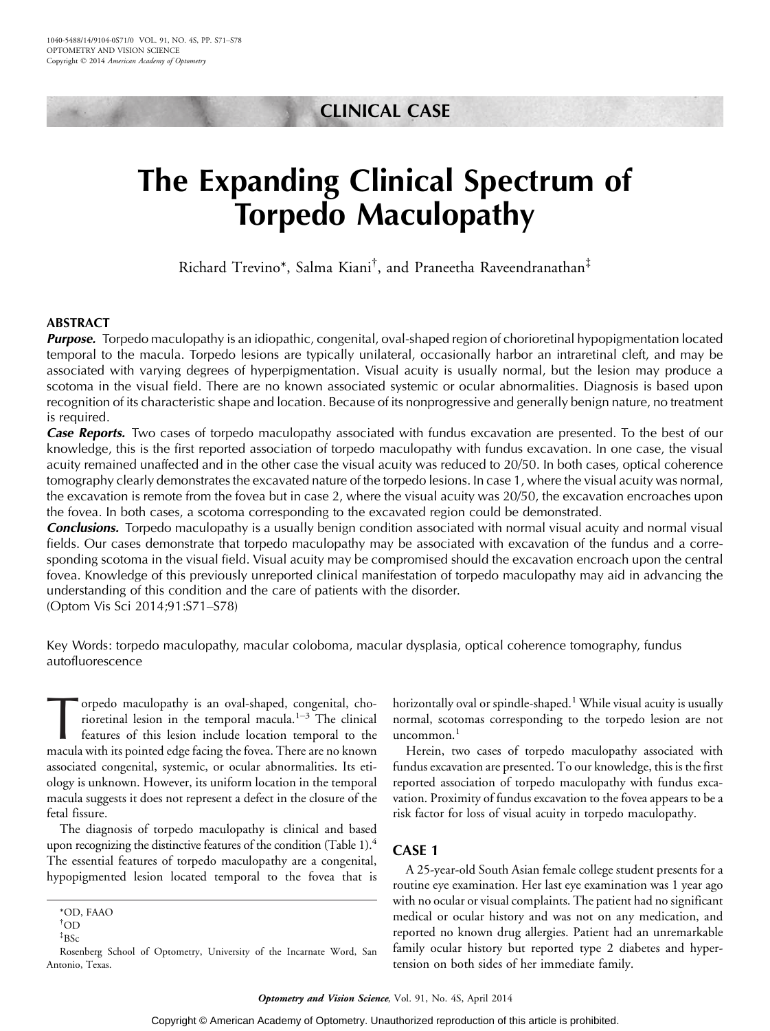# CLINICAL CASE

# The Expanding Clinical Spectrum of Torpedo Maculopathy

Richard Trevino\*, Salma Kiani† , and Praneetha Raveendranathan‡

# ABSTRACT

**Purpose.** Torpedo maculopathy is an idiopathic, congenital, oval-shaped region of chorioretinal hypopigmentation located temporal to the macula. Torpedo lesions are typically unilateral, occasionally harbor an intraretinal cleft, and may be associated with varying degrees of hyperpigmentation. Visual acuity is usually normal, but the lesion may produce a scotoma in the visual field. There are no known associated systemic or ocular abnormalities. Diagnosis is based upon recognition of its characteristic shape and location. Because of its nonprogressive and generally benign nature, no treatment is required.

**Case Reports.** Two cases of torpedo maculopathy associated with fundus excavation are presented. To the best of our knowledge, this is the first reported association of torpedo maculopathy with fundus excavation. In one case, the visual acuity remained unaffected and in the other case the visual acuity was reduced to 20/50. In both cases, optical coherence tomography clearly demonstrates the excavated nature of the torpedo lesions. In case 1, where the visual acuity was normal, the excavation is remote from the fovea but in case 2, where the visual acuity was 20/50, the excavation encroaches upon the fovea. In both cases, a scotoma corresponding to the excavated region could be demonstrated.

**Conclusions.** Torpedo maculopathy is a usually benign condition associated with normal visual acuity and normal visual fields. Our cases demonstrate that torpedo maculopathy may be associated with excavation of the fundus and a corresponding scotoma in the visual field. Visual acuity may be compromised should the excavation encroach upon the central fovea. Knowledge of this previously unreported clinical manifestation of torpedo maculopathy may aid in advancing the understanding of this condition and the care of patients with the disorder.

(Optom Vis Sci 2014;91:S71-S78)

Key Words: torpedo maculopathy, macular coloboma, macular dysplasia, optical coherence tomography, fundus autofluorescence

orpedo maculopathy is an oval-shaped, congenital, chorioretinal lesion in the temporal macula.<sup>1-3</sup> The clinical features of this lesion include location temporal to the macula with its pointed edge facing the fovea. There are no known associated congenital, systemic, or ocular abnormalities. Its etiology is unknown. However, its uniform location in the temporal macula suggests it does not represent a defect in the closure of the fetal fissure.

The diagnosis of torpedo maculopathy is clinical and based upon recognizing the distinctive features of the condition (Table 1).<sup>4</sup> The essential features of torpedo maculopathy are a congenital, hypopigmented lesion located temporal to the fovea that is

horizontally oval or spindle-shaped.<sup>1</sup> While visual acuity is usually normal, scotomas corresponding to the torpedo lesion are not uncommon. $<sup>1</sup>$ </sup>

Herein, two cases of torpedo maculopathy associated with fundus excavation are presented. To our knowledge, this is the first reported association of torpedo maculopathy with fundus excavation. Proximity of fundus excavation to the fovea appears to be a risk factor for loss of visual acuity in torpedo maculopathy.

# CASE 1

A 25-year-old South Asian female college student presents for a routine eye examination. Her last eye examination was 1 year ago with no ocular or visual complaints. The patient had no significant medical or ocular history and was not on any medication, and reported no known drug allergies. Patient had an unremarkable family ocular history but reported type 2 diabetes and hypertension on both sides of her immediate family.

<sup>\*</sup>OD, FAAO

 $\rm ^{†}OD$ 

<sup>‡</sup> BSc

Rosenberg School of Optometry, University of the Incarnate Word, San Antonio, Texas.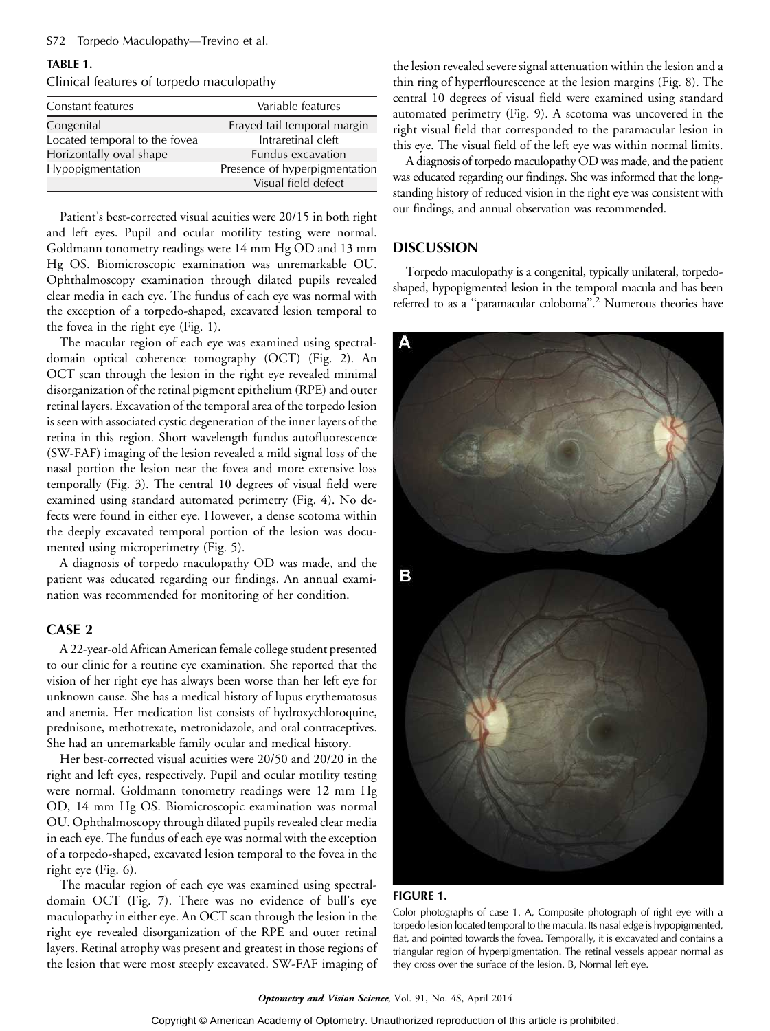# TABLE 1.

Clinical features of torpedo maculopathy

| Constant features             | Variable features             |
|-------------------------------|-------------------------------|
| Congenital                    | Frayed tail temporal margin   |
| Located temporal to the fovea | Intraretinal cleft            |
| Horizontally oval shape       | <b>Fundus excavation</b>      |
| Hypopigmentation              | Presence of hyperpigmentation |
|                               | Visual field defect           |
|                               |                               |

Patient's best-corrected visual acuities were 20/15 in both right and left eyes. Pupil and ocular motility testing were normal. Goldmann tonometry readings were 14 mm Hg OD and 13 mm Hg OS. Biomicroscopic examination was unremarkable OU. Ophthalmoscopy examination through dilated pupils revealed clear media in each eye. The fundus of each eye was normal with the exception of a torpedo-shaped, excavated lesion temporal to the fovea in the right eye (Fig. 1).

The macular region of each eye was examined using spectraldomain optical coherence tomography (OCT) (Fig. 2). An OCT scan through the lesion in the right eye revealed minimal disorganization of the retinal pigment epithelium (RPE) and outer retinal layers. Excavation of the temporal area of the torpedo lesion is seen with associated cystic degeneration of the inner layers of the retina in this region. Short wavelength fundus autofluorescence (SW-FAF) imaging of the lesion revealed a mild signal loss of the nasal portion the lesion near the fovea and more extensive loss temporally (Fig. 3). The central 10 degrees of visual field were examined using standard automated perimetry (Fig. 4). No defects were found in either eye. However, a dense scotoma within the deeply excavated temporal portion of the lesion was documented using microperimetry (Fig. 5).

A diagnosis of torpedo maculopathy OD was made, and the patient was educated regarding our findings. An annual examination was recommended for monitoring of her condition.

# CASE 2

A 22-year-old African American female college student presented to our clinic for a routine eye examination. She reported that the vision of her right eye has always been worse than her left eye for unknown cause. She has a medical history of lupus erythematosus and anemia. Her medication list consists of hydroxychloroquine, prednisone, methotrexate, metronidazole, and oral contraceptives. She had an unremarkable family ocular and medical history.

Her best-corrected visual acuities were 20/50 and 20/20 in the right and left eyes, respectively. Pupil and ocular motility testing were normal. Goldmann tonometry readings were 12 mm Hg OD, 14 mm Hg OS. Biomicroscopic examination was normal OU. Ophthalmoscopy through dilated pupils revealed clear media in each eye. The fundus of each eye was normal with the exception of a torpedo-shaped, excavated lesion temporal to the fovea in the right eye (Fig. 6).

The macular region of each eye was examined using spectraldomain OCT (Fig. 7). There was no evidence of bull's eye maculopathy in either eye. An OCT scan through the lesion in the right eye revealed disorganization of the RPE and outer retinal layers. Retinal atrophy was present and greatest in those regions of the lesion that were most steeply excavated. SW-FAF imaging of the lesion revealed severe signal attenuation within the lesion and a thin ring of hyperflourescence at the lesion margins (Fig. 8). The central 10 degrees of visual field were examined using standard automated perimetry (Fig. 9). A scotoma was uncovered in the right visual field that corresponded to the paramacular lesion in this eye. The visual field of the left eye was within normal limits.

A diagnosis of torpedo maculopathy OD was made, and the patient was educated regarding our findings. She was informed that the longstanding history of reduced vision in the right eye was consistent with our findings, and annual observation was recommended.

### **DISCUSSION**

Torpedo maculopathy is a congenital, typically unilateral, torpedoshaped, hypopigmented lesion in the temporal macula and has been referred to as a ''paramacular coloboma''.2 Numerous theories have



#### FIGURE 1.

Color photographs of case 1. A, Composite photograph of right eye with a torpedo lesion located temporal to the macula. Its nasal edge is hypopigmented, flat, and pointed towards the fovea. Temporally, it is excavated and contains a triangular region of hyperpigmentation. The retinal vessels appear normal as they cross over the surface of the lesion. B, Normal left eye.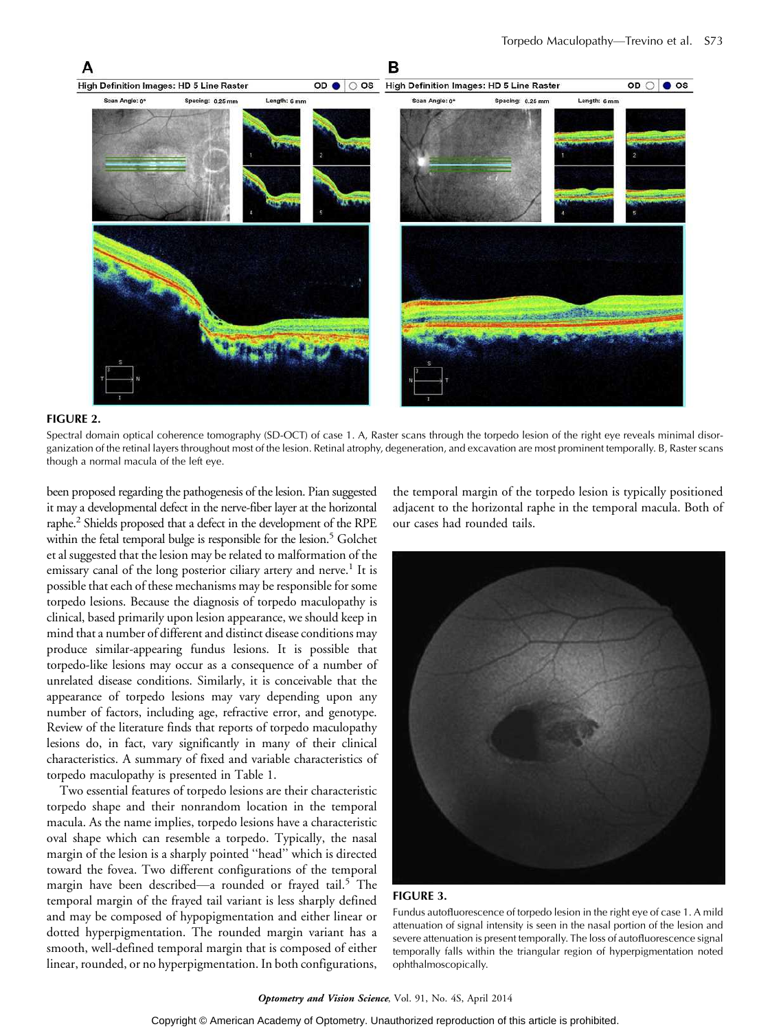

#### FIGURE 2.

Spectral domain optical coherence tomography (SD-OCT) of case 1. A, Raster scans through the torpedo lesion of the right eye reveals minimal disorganization of the retinal layers throughout most of the lesion. Retinal atrophy, degeneration, and excavation are most prominent temporally. B, Raster scans though a normal macula of the left eye.

been proposed regarding the pathogenesis of the lesion. Pian suggested it may a developmental defect in the nerve-fiber layer at the horizontal raphe.2 Shields proposed that a defect in the development of the RPE within the fetal temporal bulge is responsible for the lesion.<sup>5</sup> Golchet et al suggested that the lesion may be related to malformation of the emissary canal of the long posterior ciliary artery and nerve.<sup>1</sup> It is possible that each of these mechanisms may be responsible for some torpedo lesions. Because the diagnosis of torpedo maculopathy is clinical, based primarily upon lesion appearance, we should keep in mind that a number of different and distinct disease conditions may produce similar-appearing fundus lesions. It is possible that torpedo-like lesions may occur as a consequence of a number of unrelated disease conditions. Similarly, it is conceivable that the appearance of torpedo lesions may vary depending upon any number of factors, including age, refractive error, and genotype. Review of the literature finds that reports of torpedo maculopathy lesions do, in fact, vary significantly in many of their clinical characteristics. A summary of fixed and variable characteristics of torpedo maculopathy is presented in Table 1.

Two essential features of torpedo lesions are their characteristic torpedo shape and their nonrandom location in the temporal macula. As the name implies, torpedo lesions have a characteristic oval shape which can resemble a torpedo. Typically, the nasal margin of the lesion is a sharply pointed ''head'' which is directed toward the fovea. Two different configurations of the temporal margin have been described—a rounded or frayed tail.<sup>5</sup> The temporal margin of the frayed tail variant is less sharply defined and may be composed of hypopigmentation and either linear or dotted hyperpigmentation. The rounded margin variant has a smooth, well-defined temporal margin that is composed of either linear, rounded, or no hyperpigmentation. In both configurations,

the temporal margin of the torpedo lesion is typically positioned adjacent to the horizontal raphe in the temporal macula. Both of our cases had rounded tails.



#### FIGURE 3.

Fundus autofluorescence of torpedo lesion in the right eye of case 1. A mild attenuation of signal intensity is seen in the nasal portion of the lesion and severe attenuation is present temporally. The loss of autofluorescence signal temporally falls within the triangular region of hyperpigmentation noted ophthalmoscopically.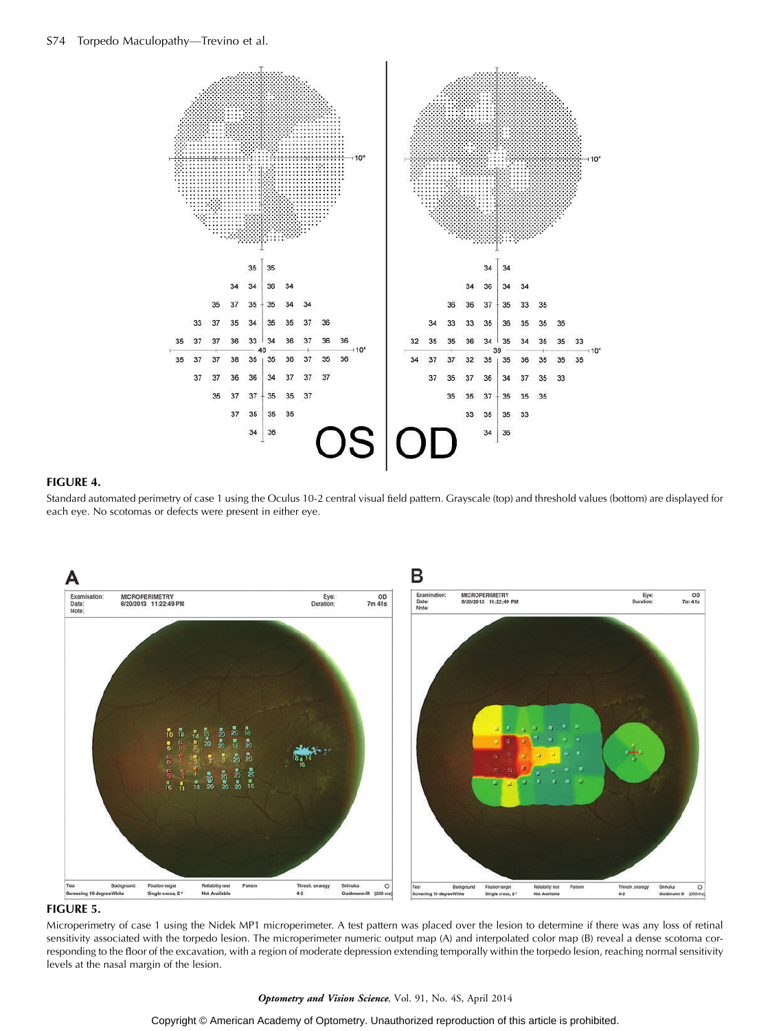

# FIGURE 4.

Standard automated perimetry of case 1 using the Oculus 10-2 central visual field pattern. Grayscale (top) and threshold values (bottom) are displayed for each eye. No scotomas or defects were present in either eye.



# FIGURE 5.

Microperimetry of case 1 using the Nidek MP1 microperimeter. A test pattern was placed over the lesion to determine if there was any loss of retinal sensitivity associated with the torpedo lesion. The microperimeter numeric output map (A) and interpolated color map (B) reveal a dense scotoma corresponding to the floor of the excavation, with a region of moderate depression extending temporally within the torpedo lesion, reaching normal sensitivity levels at the nasal margin of the lesion.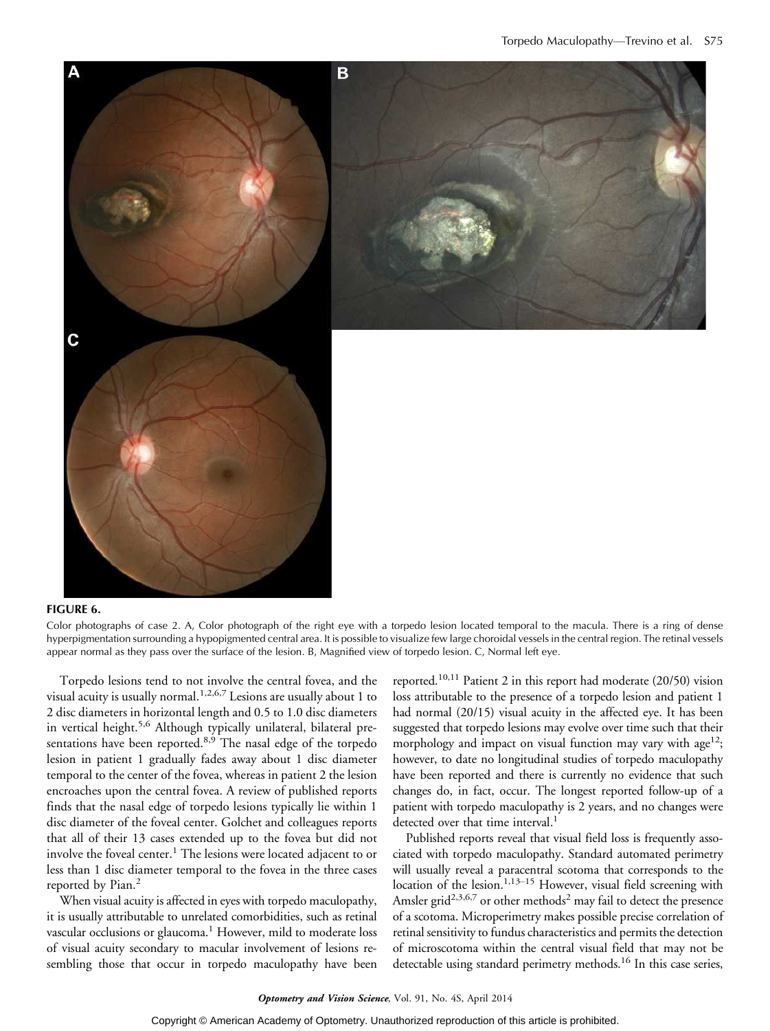

#### FIGURE 6.

Color photographs of case 2. A, Color photograph of the right eye with a torpedo lesion located temporal to the macula. There is a ring of dense hyperpigmentation surrounding a hypopigmented central area. It is possible to visualize few large choroidal vessels in the central region. The retinal vessels appear normal as they pass over the surface of the lesion. B, Magnified view of torpedo lesion. C, Normal left eye.

Torpedo lesions tend to not involve the central fovea, and the visual acuity is usually normal. $1,2,6,7$  Lesions are usually about 1 to 2 disc diameters in horizontal length and 0.5 to 1.0 disc diameters in vertical height.<sup>5,6</sup> Although typically unilateral, bilateral presentations have been reported.<sup>8,9</sup> The nasal edge of the torpedo lesion in patient 1 gradually fades away about 1 disc diameter temporal to the center of the fovea, whereas in patient 2 the lesion encroaches upon the central fovea. A review of published reports finds that the nasal edge of torpedo lesions typically lie within 1 disc diameter of the foveal center. Golchet and colleagues reports that all of their 13 cases extended up to the fovea but did not involve the foveal center.<sup>1</sup> The lesions were located adjacent to or less than 1 disc diameter temporal to the fovea in the three cases reported by Pian.<sup>2</sup>

When visual acuity is affected in eyes with torpedo maculopathy, it is usually attributable to unrelated comorbidities, such as retinal vascular occlusions or glaucoma.<sup>1</sup> However, mild to moderate loss of visual acuity secondary to macular involvement of lesions resembling those that occur in torpedo maculopathy have been

reported.<sup>10,11</sup> Patient 2 in this report had moderate  $(20/50)$  vision loss attributable to the presence of a torpedo lesion and patient 1 had normal (20/15) visual acuity in the affected eye. It has been suggested that torpedo lesions may evolve over time such that their morphology and impact on visual function may vary with age<sup>12</sup>; however, to date no longitudinal studies of torpedo maculopathy have been reported and there is currently no evidence that such changes do, in fact, occur. The longest reported follow-up of a patient with torpedo maculopathy is 2 years, and no changes were detected over that time interval.<sup>1</sup>

Published reports reveal that visual field loss is frequently associated with torpedo maculopathy. Standard automated perimetry will usually reveal a paracentral scotoma that corresponds to the location of the lesion.<sup>1,13-15</sup> However, visual field screening with Amsler grid<sup>2,3,6,7</sup> or other methods<sup>2</sup> may fail to detect the presence of a scotoma. Microperimetry makes possible precise correlation of retinal sensitivity to fundus characteristics and permits the detection of microscotoma within the central visual field that may not be detectable using standard perimetry methods.<sup>16</sup> In this case series,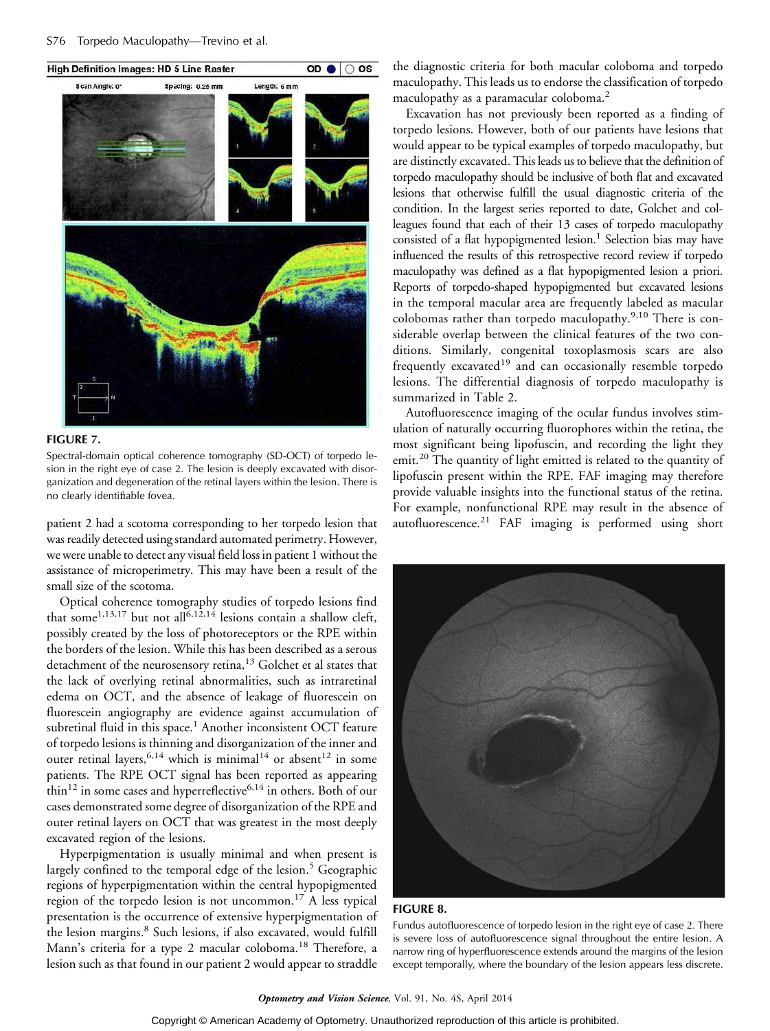

#### FIGURE 7.

Spectral-domain optical coherence tomography (SD-OCT) of torpedo lesion in the right eye of case 2. The lesion is deeply excavated with disorganization and degeneration of the retinal layers within the lesion. There is no clearly identifiable fovea.

patient 2 had a scotoma corresponding to her torpedo lesion that was readily detected using standard automated perimetry. However, we were unable to detect any visual field loss in patient 1 without the assistance of microperimetry. This may have been a result of the small size of the scotoma.

Optical coherence tomography studies of torpedo lesions find that some<sup>1,13,17</sup> but not all<sup>6,12,14</sup> lesions contain a shallow cleft, possibly created by the loss of photoreceptors or the RPE within the borders of the lesion. While this has been described as a serous detachment of the neurosensory retina,<sup>13</sup> Golchet et al states that the lack of overlying retinal abnormalities, such as intraretinal edema on OCT, and the absence of leakage of fluorescein on fluorescein angiography are evidence against accumulation of subretinal fluid in this space.<sup>1</sup> Another inconsistent OCT feature of torpedo lesions is thinning and disorganization of the inner and outer retinal layers,  $6,14$  which is minimal<sup>14</sup> or absent<sup>12</sup> in some patients. The RPE OCT signal has been reported as appearing thin<sup>12</sup> in some cases and hyperreflective<sup>6,14</sup> in others. Both of our cases demonstrated some degree of disorganization of the RPE and outer retinal layers on OCT that was greatest in the most deeply excavated region of the lesions.

Hyperpigmentation is usually minimal and when present is largely confined to the temporal edge of the lesion.<sup>5</sup> Geographic regions of hyperpigmentation within the central hypopigmented region of the torpedo lesion is not uncommon.<sup>17</sup> A less typical presentation is the occurrence of extensive hyperpigmentation of the lesion margins.<sup>8</sup> Such lesions, if also excavated, would fulfill Mann's criteria for a type 2 macular coloboma.<sup>18</sup> Therefore, a lesion such as that found in our patient 2 would appear to straddle

the diagnostic criteria for both macular coloboma and torpedo maculopathy. This leads us to endorse the classification of torpedo maculopathy as a paramacular coloboma.2

Excavation has not previously been reported as a finding of torpedo lesions. However, both of our patients have lesions that would appear to be typical examples of torpedo maculopathy, but are distinctly excavated. This leads us to believe that the definition of torpedo maculopathy should be inclusive of both flat and excavated lesions that otherwise fulfill the usual diagnostic criteria of the condition. In the largest series reported to date, Golchet and colleagues found that each of their 13 cases of torpedo maculopathy consisted of a flat hypopigmented lesion.<sup>1</sup> Selection bias may have influenced the results of this retrospective record review if torpedo maculopathy was defined as a flat hypopigmented lesion a priori. Reports of torpedo-shaped hypopigmented but excavated lesions in the temporal macular area are frequently labeled as macular colobomas rather than torpedo maculopathy.9,10 There is considerable overlap between the clinical features of the two conditions. Similarly, congenital toxoplasmosis scars are also frequently excavated<sup>19</sup> and can occasionally resemble torpedo lesions. The differential diagnosis of torpedo maculopathy is summarized in Table 2.

Autofluorescence imaging of the ocular fundus involves stimulation of naturally occurring fluorophores within the retina, the most significant being lipofuscin, and recording the light they emit.<sup>20</sup> The quantity of light emitted is related to the quantity of lipofuscin present within the RPE. FAF imaging may therefore provide valuable insights into the functional status of the retina. For example, nonfunctional RPE may result in the absence of autofluorescence.<sup>21</sup> FAF imaging is performed using short



#### FIGURE 8.

Fundus autofluorescence of torpedo lesion in the right eye of case 2. There is severe loss of autofluorescence signal throughout the entire lesion. A narrow ring of hyperfluorescence extends around the margins of the lesion except temporally, where the boundary of the lesion appears less discrete.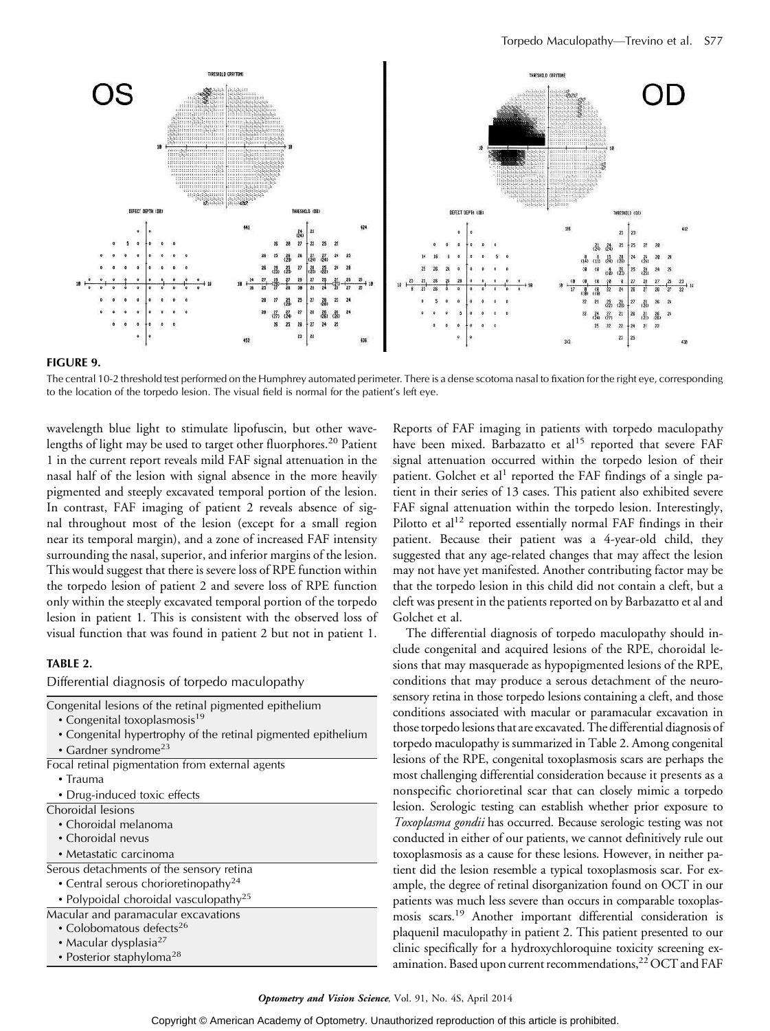

#### FIGURE 9.

The central 10-2 threshold test performed on the Humphrey automated perimeter. There is a dense scotoma nasal to fixation for the right eye, corresponding to the location of the torpedo lesion. The visual field is normal for the patient's left eye.

wavelength blue light to stimulate lipofuscin, but other wavelengths of light may be used to target other fluorphores.<sup>20</sup> Patient 1 in the current report reveals mild FAF signal attenuation in the nasal half of the lesion with signal absence in the more heavily pigmented and steeply excavated temporal portion of the lesion. In contrast, FAF imaging of patient 2 reveals absence of signal throughout most of the lesion (except for a small region near its temporal margin), and a zone of increased FAF intensity surrounding the nasal, superior, and inferior margins of the lesion. This would suggest that there is severe loss of RPE function within the torpedo lesion of patient 2 and severe loss of RPE function only within the steeply excavated temporal portion of the torpedo lesion in patient 1. This is consistent with the observed loss of visual function that was found in patient 2 but not in patient 1.

#### TABLE 2.

Differential diagnosis of torpedo maculopathy

| Congenital lesions of the retinal pigmented epithelium       |
|--------------------------------------------------------------|
| • Congenital toxoplasmosis <sup>19</sup>                     |
| • Congenital hypertrophy of the retinal pigmented epithelium |
| • Gardner syndrome <sup>23</sup>                             |
| Focal retinal pigmentation from external agents              |
| $\cdot$ Trauma                                               |
| • Drug-induced toxic effects                                 |
| Choroidal lesions                                            |
| $\cdot$ Choroidal melanoma                                   |
| • Choroidal nevus                                            |
| • Metastatic carcinoma                                       |
| Serous detachments of the sensory retina                     |
| • Central serous chorioretinopathy <sup>24</sup>             |
| • Polypoidal choroidal vasculopathy <sup>25</sup>            |
| Macular and paramacular excavations                          |
| • Colobomatous defects <sup>26</sup>                         |
| • Macular dysplasia <sup>27</sup>                            |
| • Posterior staphyloma <sup>28</sup>                         |

Reports of FAF imaging in patients with torpedo maculopathy have been mixed. Barbazatto et al<sup>15</sup> reported that severe FAF signal attenuation occurred within the torpedo lesion of their patient. Golchet et al<sup>1</sup> reported the FAF findings of a single patient in their series of 13 cases. This patient also exhibited severe FAF signal attenuation within the torpedo lesion. Interestingly, Pilotto et  $al^{12}$  reported essentially normal FAF findings in their patient. Because their patient was a 4-year-old child, they suggested that any age-related changes that may affect the lesion may not have yet manifested. Another contributing factor may be that the torpedo lesion in this child did not contain a cleft, but a cleft was present in the patients reported on by Barbazatto et al and Golchet et al.

The differential diagnosis of torpedo maculopathy should include congenital and acquired lesions of the RPE, choroidal lesions that may masquerade as hypopigmented lesions of the RPE, conditions that may produce a serous detachment of the neurosensory retina in those torpedo lesions containing a cleft, and those conditions associated with macular or paramacular excavation in those torpedo lesions that are excavated. The differential diagnosis of torpedo maculopathy is summarized in Table 2. Among congenital lesions of the RPE, congenital toxoplasmosis scars are perhaps the most challenging differential consideration because it presents as a nonspecific chorioretinal scar that can closely mimic a torpedo lesion. Serologic testing can establish whether prior exposure to Toxoplasma gondii has occurred. Because serologic testing was not conducted in either of our patients, we cannot definitively rule out toxoplasmosis as a cause for these lesions. However, in neither patient did the lesion resemble a typical toxoplasmosis scar. For example, the degree of retinal disorganization found on OCT in our patients was much less severe than occurs in comparable toxoplasmosis scars.19 Another important differential consideration is plaquenil maculopathy in patient 2. This patient presented to our clinic specifically for a hydroxychloroquine toxicity screening examination. Based upon current recommendations,<sup>22</sup> OCT and FAF